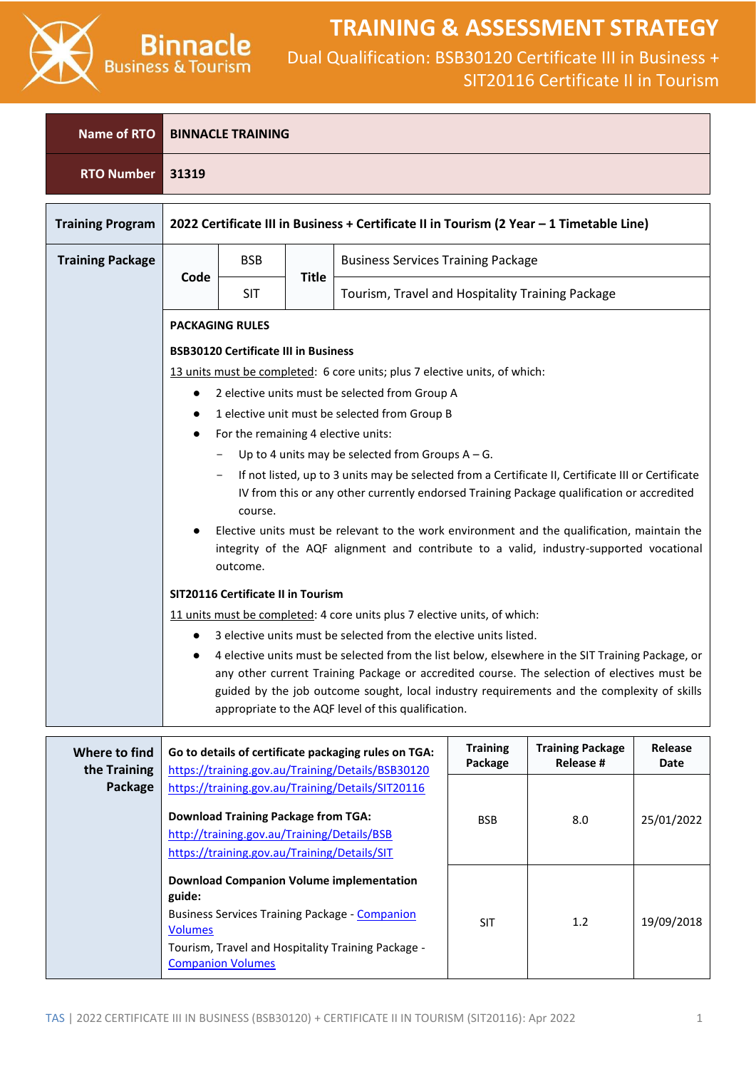

| <b>Name of RTO</b>      | <b>BINNACLE TRAINING</b>                                                                                                                                                                           |                                                                                                                                                                                                            |              |                                                                                                                                                   |                                                  |                                      |                        |  |  |
|-------------------------|----------------------------------------------------------------------------------------------------------------------------------------------------------------------------------------------------|------------------------------------------------------------------------------------------------------------------------------------------------------------------------------------------------------------|--------------|---------------------------------------------------------------------------------------------------------------------------------------------------|--------------------------------------------------|--------------------------------------|------------------------|--|--|
| <b>RTO Number</b>       | 31319                                                                                                                                                                                              |                                                                                                                                                                                                            |              |                                                                                                                                                   |                                                  |                                      |                        |  |  |
| <b>Training Program</b> |                                                                                                                                                                                                    |                                                                                                                                                                                                            |              | 2022 Certificate III in Business + Certificate II in Tourism (2 Year - 1 Timetable Line)                                                          |                                                  |                                      |                        |  |  |
| <b>Training Package</b> |                                                                                                                                                                                                    | <b>BSB</b><br><b>Business Services Training Package</b>                                                                                                                                                    |              |                                                                                                                                                   |                                                  |                                      |                        |  |  |
|                         | Code                                                                                                                                                                                               | <b>SIT</b>                                                                                                                                                                                                 | <b>Title</b> |                                                                                                                                                   | Tourism, Travel and Hospitality Training Package |                                      |                        |  |  |
|                         |                                                                                                                                                                                                    | <b>PACKAGING RULES</b><br><b>BSB30120 Certificate III in Business</b>                                                                                                                                      |              |                                                                                                                                                   |                                                  |                                      |                        |  |  |
|                         |                                                                                                                                                                                                    |                                                                                                                                                                                                            |              | 13 units must be completed: 6 core units; plus 7 elective units, of which:                                                                        |                                                  |                                      |                        |  |  |
|                         |                                                                                                                                                                                                    |                                                                                                                                                                                                            |              | 2 elective units must be selected from Group A<br>1 elective unit must be selected from Group B                                                   |                                                  |                                      |                        |  |  |
|                         | $\bullet$                                                                                                                                                                                          | For the remaining 4 elective units:                                                                                                                                                                        |              |                                                                                                                                                   |                                                  |                                      |                        |  |  |
|                         |                                                                                                                                                                                                    |                                                                                                                                                                                                            |              | Up to 4 units may be selected from Groups $A - G$ .                                                                                               |                                                  |                                      |                        |  |  |
|                         |                                                                                                                                                                                                    | If not listed, up to 3 units may be selected from a Certificate II, Certificate III or Certificate<br>IV from this or any other currently endorsed Training Package qualification or accredited<br>course. |              |                                                                                                                                                   |                                                  |                                      |                        |  |  |
|                         | Elective units must be relevant to the work environment and the qualification, maintain the<br>integrity of the AQF alignment and contribute to a valid, industry-supported vocational<br>outcome. |                                                                                                                                                                                                            |              |                                                                                                                                                   |                                                  |                                      |                        |  |  |
|                         | SIT20116 Certificate II in Tourism                                                                                                                                                                 |                                                                                                                                                                                                            |              |                                                                                                                                                   |                                                  |                                      |                        |  |  |
|                         |                                                                                                                                                                                                    | 11 units must be completed: 4 core units plus 7 elective units, of which:<br>3 elective units must be selected from the elective units listed.                                                             |              |                                                                                                                                                   |                                                  |                                      |                        |  |  |
|                         |                                                                                                                                                                                                    |                                                                                                                                                                                                            |              | 4 elective units must be selected from the list below, elsewhere in the SIT Training Package, or                                                  |                                                  |                                      |                        |  |  |
|                         |                                                                                                                                                                                                    |                                                                                                                                                                                                            |              | any other current Training Package or accredited course. The selection of electives must be                                                       |                                                  |                                      |                        |  |  |
|                         |                                                                                                                                                                                                    |                                                                                                                                                                                                            |              | guided by the job outcome sought, local industry requirements and the complexity of skills<br>appropriate to the AQF level of this qualification. |                                                  |                                      |                        |  |  |
|                         |                                                                                                                                                                                                    |                                                                                                                                                                                                            |              |                                                                                                                                                   |                                                  |                                      |                        |  |  |
| Where to find           |                                                                                                                                                                                                    |                                                                                                                                                                                                            |              | Go to details of certificate packaging rules on TGA:                                                                                              | <b>Training</b><br>Package                       | <b>Training Package</b><br>Release # | Release<br><b>Date</b> |  |  |
| the Training<br>Package |                                                                                                                                                                                                    |                                                                                                                                                                                                            |              | https://training.gov.au/Training/Details/BSB30120<br>https://training.gov.au/Training/Details/SIT20116                                            |                                                  |                                      |                        |  |  |
|                         |                                                                                                                                                                                                    | <b>Download Training Package from TGA:</b>                                                                                                                                                                 |              |                                                                                                                                                   | <b>BSB</b>                                       | 8.0                                  | 25/01/2022             |  |  |
|                         |                                                                                                                                                                                                    | http://training.gov.au/Training/Details/BSB                                                                                                                                                                |              |                                                                                                                                                   |                                                  |                                      |                        |  |  |
|                         |                                                                                                                                                                                                    | https://training.gov.au/Training/Details/SIT                                                                                                                                                               |              |                                                                                                                                                   |                                                  |                                      |                        |  |  |
|                         | guide:                                                                                                                                                                                             |                                                                                                                                                                                                            |              | <b>Download Companion Volume implementation</b>                                                                                                   |                                                  |                                      |                        |  |  |
|                         | <b>Volumes</b>                                                                                                                                                                                     |                                                                                                                                                                                                            |              | <b>Business Services Training Package - Companion</b>                                                                                             | <b>SIT</b>                                       | 1.2                                  | 19/09/2018             |  |  |
|                         |                                                                                                                                                                                                    | <b>Companion Volumes</b>                                                                                                                                                                                   |              | Tourism, Travel and Hospitality Training Package -                                                                                                |                                                  |                                      |                        |  |  |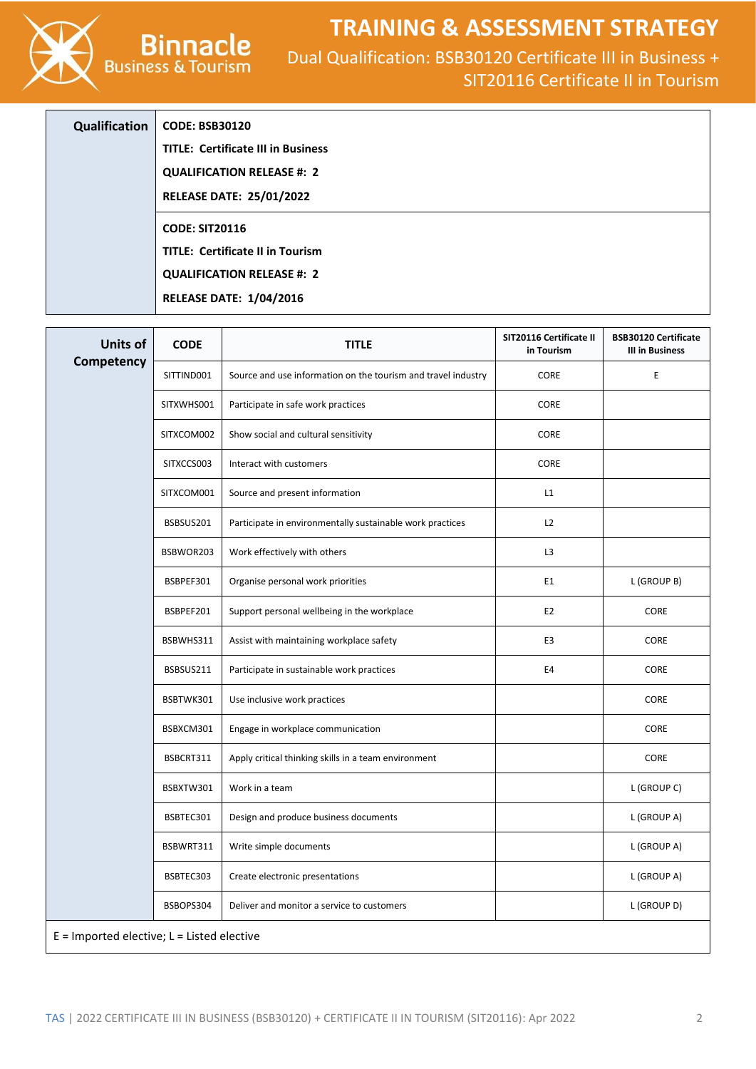Dual Qualification: BSB30120 Certificate III in Business + SIT20116 Certificate II in Tourism

| <b>Qualification</b> | <b>CODE: BSB30120</b>                     |
|----------------------|-------------------------------------------|
|                      | <b>TITLE: Certificate III in Business</b> |
|                      | <b>QUALIFICATION RELEASE #: 2</b>         |
|                      | <b>RELEASE DATE: 25/01/2022</b>           |
|                      | <b>CODE: SIT20116</b>                     |
|                      | <b>TITLE: Certificate II in Tourism</b>   |
|                      | <b>QUALIFICATION RELEASE #: 2</b>         |
|                      | <b>RELEASE DATE: 1/04/2016</b>            |

**Binnacle**<br>Business & Tourism

| <b>Units of</b> | <b>CODE</b>                                    | <b>TITLE</b>                                                  | SIT20116 Certificate II<br>in Tourism | <b>BSB30120 Certificate</b><br><b>III in Business</b> |  |  |  |  |  |
|-----------------|------------------------------------------------|---------------------------------------------------------------|---------------------------------------|-------------------------------------------------------|--|--|--|--|--|
| Competency      | SITTIND001                                     | Source and use information on the tourism and travel industry | <b>CORE</b>                           | E                                                     |  |  |  |  |  |
|                 | SITXWHS001                                     | Participate in safe work practices                            | CORE                                  |                                                       |  |  |  |  |  |
|                 | SITXCOM002                                     | Show social and cultural sensitivity                          | CORE                                  |                                                       |  |  |  |  |  |
|                 | SITXCCS003                                     | Interact with customers                                       | CORE                                  |                                                       |  |  |  |  |  |
|                 | SITXCOM001                                     | Source and present information                                | L1                                    |                                                       |  |  |  |  |  |
|                 | BSBSUS201                                      | Participate in environmentally sustainable work practices     | L2                                    |                                                       |  |  |  |  |  |
|                 | BSBWOR203                                      | Work effectively with others                                  | L <sub>3</sub>                        |                                                       |  |  |  |  |  |
|                 | BSBPEF301                                      | Organise personal work priorities                             | E1                                    | L (GROUP B)                                           |  |  |  |  |  |
|                 | BSBPEF201                                      | Support personal wellbeing in the workplace                   | E <sub>2</sub>                        | CORE                                                  |  |  |  |  |  |
|                 | BSBWHS311                                      | Assist with maintaining workplace safety                      | E <sub>3</sub>                        | CORE                                                  |  |  |  |  |  |
|                 | BSBSUS211                                      | Participate in sustainable work practices                     | E4                                    | CORE                                                  |  |  |  |  |  |
|                 | BSBTWK301                                      | Use inclusive work practices                                  |                                       | CORE                                                  |  |  |  |  |  |
|                 | BSBXCM301                                      | Engage in workplace communication                             |                                       | CORE                                                  |  |  |  |  |  |
|                 | BSBCRT311                                      | Apply critical thinking skills in a team environment          |                                       | CORE                                                  |  |  |  |  |  |
|                 | BSBXTW301                                      | Work in a team                                                |                                       | L (GROUP C)                                           |  |  |  |  |  |
|                 | BSBTEC301                                      | Design and produce business documents                         |                                       | L (GROUP A)                                           |  |  |  |  |  |
|                 | BSBWRT311                                      | Write simple documents                                        |                                       | L (GROUP A)                                           |  |  |  |  |  |
|                 | BSBTEC303                                      | Create electronic presentations                               |                                       | L (GROUP A)                                           |  |  |  |  |  |
|                 | BSBOPS304                                      | Deliver and monitor a service to customers                    |                                       | L (GROUP D)                                           |  |  |  |  |  |
|                 | $E =$ Imported elective; $L =$ Listed elective |                                                               |                                       |                                                       |  |  |  |  |  |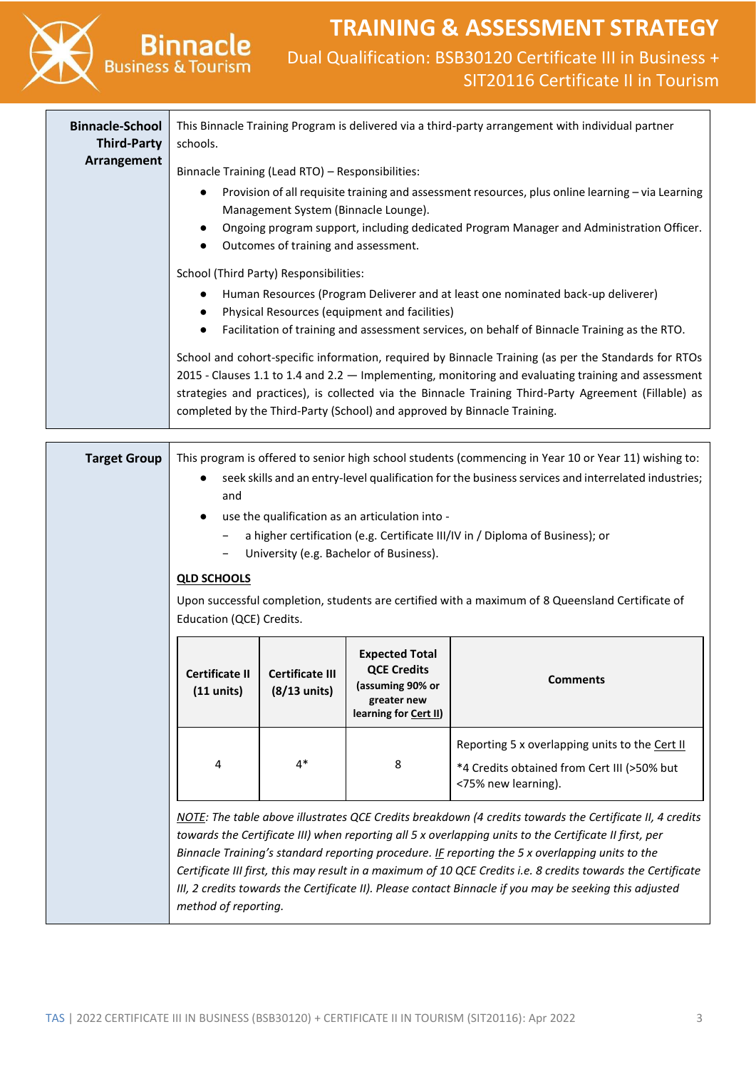|                                                             | <b>Binnacle</b><br><b>Business &amp; Tourism</b>                                                                                                                                                                                                                                                                                                                                                   |                                                  |                                                                                                         | <b>TRAINING &amp; ASSESSMENT STRATEGY</b><br>Dual Qualification: BSB30120 Certificate III in Business +<br>SIT20116 Certificate II in Tourism                                                                                                                                                                                                                                                                                                                                                                                                    |  |  |
|-------------------------------------------------------------|----------------------------------------------------------------------------------------------------------------------------------------------------------------------------------------------------------------------------------------------------------------------------------------------------------------------------------------------------------------------------------------------------|--------------------------------------------------|---------------------------------------------------------------------------------------------------------|--------------------------------------------------------------------------------------------------------------------------------------------------------------------------------------------------------------------------------------------------------------------------------------------------------------------------------------------------------------------------------------------------------------------------------------------------------------------------------------------------------------------------------------------------|--|--|
| <b>Binnacle-School</b><br><b>Third-Party</b><br>Arrangement | This Binnacle Training Program is delivered via a third-party arrangement with individual partner<br>schools.                                                                                                                                                                                                                                                                                      |                                                  |                                                                                                         |                                                                                                                                                                                                                                                                                                                                                                                                                                                                                                                                                  |  |  |
|                                                             | Binnacle Training (Lead RTO) - Responsibilities:<br>Provision of all requisite training and assessment resources, plus online learning - via Learning<br>Management System (Binnacle Lounge).<br>Ongoing program support, including dedicated Program Manager and Administration Officer.<br>Outcomes of training and assessment.                                                                  |                                                  |                                                                                                         |                                                                                                                                                                                                                                                                                                                                                                                                                                                                                                                                                  |  |  |
|                                                             |                                                                                                                                                                                                                                                                                                                                                                                                    | School (Third Party) Responsibilities:           | Physical Resources (equipment and facilities)                                                           | Human Resources (Program Deliverer and at least one nominated back-up deliverer)<br>Facilitation of training and assessment services, on behalf of Binnacle Training as the RTO.                                                                                                                                                                                                                                                                                                                                                                 |  |  |
|                                                             |                                                                                                                                                                                                                                                                                                                                                                                                    |                                                  |                                                                                                         | School and cohort-specific information, required by Binnacle Training (as per the Standards for RTOs<br>2015 - Clauses 1.1 to 1.4 and 2.2 - Implementing, monitoring and evaluating training and assessment<br>strategies and practices), is collected via the Binnacle Training Third-Party Agreement (Fillable) as<br>completed by the Third-Party (School) and approved by Binnacle Training.                                                                                                                                                 |  |  |
| <b>Target Group</b>                                         | This program is offered to senior high school students (commencing in Year 10 or Year 11) wishing to:<br>seek skills and an entry-level qualification for the business services and interrelated industries;<br>and<br>use the qualification as an articulation into -<br>a higher certification (e.g. Certificate III/IV in / Diploma of Business); or<br>University (e.g. Bachelor of Business). |                                                  |                                                                                                         |                                                                                                                                                                                                                                                                                                                                                                                                                                                                                                                                                  |  |  |
|                                                             | <b>QLD SCHOOLS</b><br>Education (QCE) Credits.                                                                                                                                                                                                                                                                                                                                                     |                                                  |                                                                                                         | Upon successful completion, students are certified with a maximum of 8 Queensland Certificate of                                                                                                                                                                                                                                                                                                                                                                                                                                                 |  |  |
|                                                             | <b>Certificate II</b><br>$(11$ units)                                                                                                                                                                                                                                                                                                                                                              | <b>Certificate III</b><br>$(8/13 \text{ units})$ | <b>Expected Total</b><br><b>QCE Credits</b><br>(assuming 90% or<br>greater new<br>learning for Cert II) | <b>Comments</b>                                                                                                                                                                                                                                                                                                                                                                                                                                                                                                                                  |  |  |
|                                                             | 4                                                                                                                                                                                                                                                                                                                                                                                                  | $4*$                                             | 8                                                                                                       | Reporting 5 x overlapping units to the Cert II<br>*4 Credits obtained from Cert III (>50% but<br><75% new learning).                                                                                                                                                                                                                                                                                                                                                                                                                             |  |  |
|                                                             | method of reporting.                                                                                                                                                                                                                                                                                                                                                                               |                                                  |                                                                                                         | NOTE: The table above illustrates QCE Credits breakdown (4 credits towards the Certificate II, 4 credits<br>towards the Certificate III) when reporting all 5 x overlapping units to the Certificate II first, per<br>Binnacle Training's standard reporting procedure. If reporting the 5 x overlapping units to the<br>Certificate III first, this may result in a maximum of 10 QCE Credits i.e. 8 credits towards the Certificate<br>III, 2 credits towards the Certificate II). Please contact Binnacle if you may be seeking this adjusted |  |  |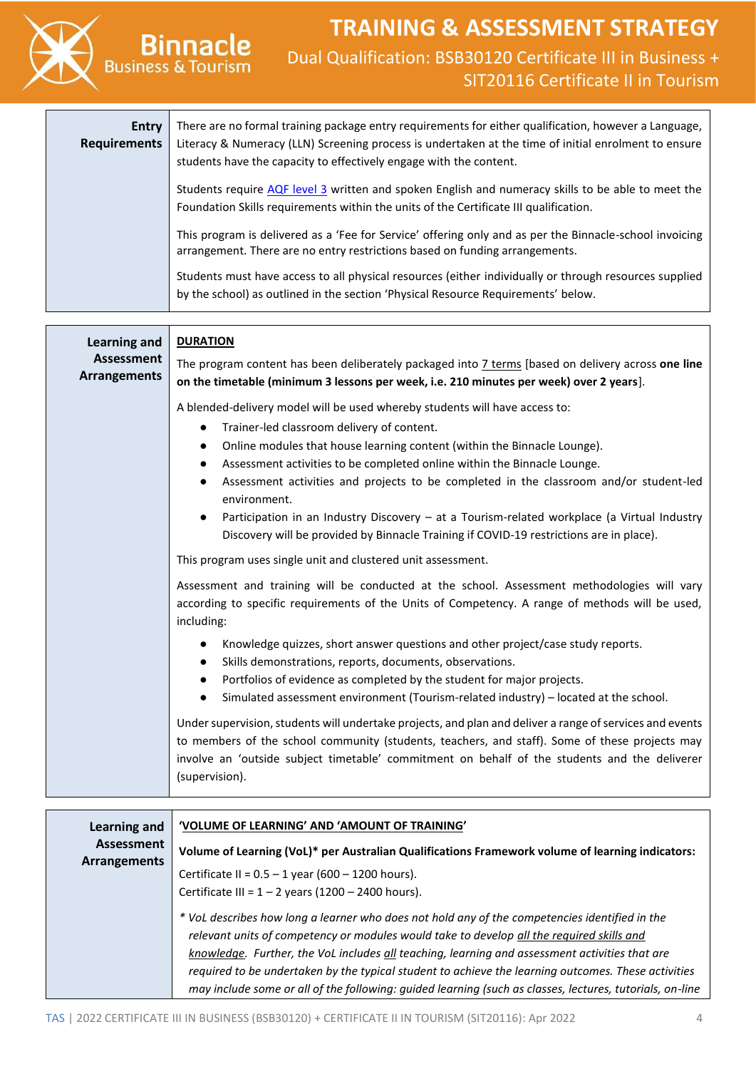

| <b>Entry</b><br><b>Requirements</b> | There are no formal training package entry requirements for either qualification, however a Language,<br>Literacy & Numeracy (LLN) Screening process is undertaken at the time of initial enrolment to ensure<br>students have the capacity to effectively engage with the content. |
|-------------------------------------|-------------------------------------------------------------------------------------------------------------------------------------------------------------------------------------------------------------------------------------------------------------------------------------|
|                                     | Students require AQF level 3 written and spoken English and numeracy skills to be able to meet the<br>Foundation Skills requirements within the units of the Certificate III qualification.                                                                                         |
|                                     | This program is delivered as a 'Fee for Service' offering only and as per the Binnacle-school invoicing<br>arrangement. There are no entry restrictions based on funding arrangements.                                                                                              |
|                                     | Students must have access to all physical resources (either individually or through resources supplied<br>by the school) as outlined in the section 'Physical Resource Requirements' below.                                                                                         |

| Learning and                             | <b>DURATION</b>                                                                                                                                                                                                                                                                                                                                                                                                                                                                                                                                                                                                                                                                              |  |  |  |  |
|------------------------------------------|----------------------------------------------------------------------------------------------------------------------------------------------------------------------------------------------------------------------------------------------------------------------------------------------------------------------------------------------------------------------------------------------------------------------------------------------------------------------------------------------------------------------------------------------------------------------------------------------------------------------------------------------------------------------------------------------|--|--|--|--|
| <b>Assessment</b><br><b>Arrangements</b> | The program content has been deliberately packaged into 7 terms [based on delivery across one line<br>on the timetable (minimum 3 lessons per week, i.e. 210 minutes per week) over 2 years].                                                                                                                                                                                                                                                                                                                                                                                                                                                                                                |  |  |  |  |
|                                          | A blended-delivery model will be used whereby students will have access to:<br>Trainer-led classroom delivery of content.<br>$\bullet$<br>Online modules that house learning content (within the Binnacle Lounge).<br>$\bullet$<br>Assessment activities to be completed online within the Binnacle Lounge.<br>$\bullet$<br>Assessment activities and projects to be completed in the classroom and/or student-led<br>environment.<br>Participation in an Industry Discovery - at a Tourism-related workplace (a Virtual Industry<br>Discovery will be provided by Binnacle Training if COVID-19 restrictions are in place).<br>This program uses single unit and clustered unit assessment. |  |  |  |  |
|                                          | Assessment and training will be conducted at the school. Assessment methodologies will vary<br>according to specific requirements of the Units of Competency. A range of methods will be used,<br>including:                                                                                                                                                                                                                                                                                                                                                                                                                                                                                 |  |  |  |  |
|                                          | Knowledge quizzes, short answer questions and other project/case study reports.<br>Skills demonstrations, reports, documents, observations.<br>$\bullet$<br>Portfolios of evidence as completed by the student for major projects.<br>$\bullet$<br>Simulated assessment environment (Tourism-related industry) - located at the school.<br>Under supervision, students will undertake projects, and plan and deliver a range of services and events<br>to members of the school community (students, teachers, and staff). Some of these projects may<br>involve an 'outside subject timetable' commitment on behalf of the students and the deliverer<br>(supervision).                     |  |  |  |  |

| Learning and                      | 'VOLUME OF LEARNING' AND 'AMOUNT OF TRAINING'                                                            |
|-----------------------------------|----------------------------------------------------------------------------------------------------------|
| <b>Assessment</b><br>Arrangements | Volume of Learning (VoL)* per Australian Qualifications Framework volume of learning indicators:         |
|                                   | Certificate II = $0.5 - 1$ year (600 - 1200 hours).                                                      |
|                                   | Certificate III = $1 - 2$ years (1200 - 2400 hours).                                                     |
|                                   | * VoL describes how long a learner who does not hold any of the competencies identified in the           |
|                                   | relevant units of competency or modules would take to develop all the required skills and                |
|                                   | knowledge. Further, the VoL includes all teaching, learning and assessment activities that are           |
|                                   | required to be undertaken by the typical student to achieve the learning outcomes. These activities      |
|                                   | may include some or all of the following: guided learning (such as classes, lectures, tutorials, on-line |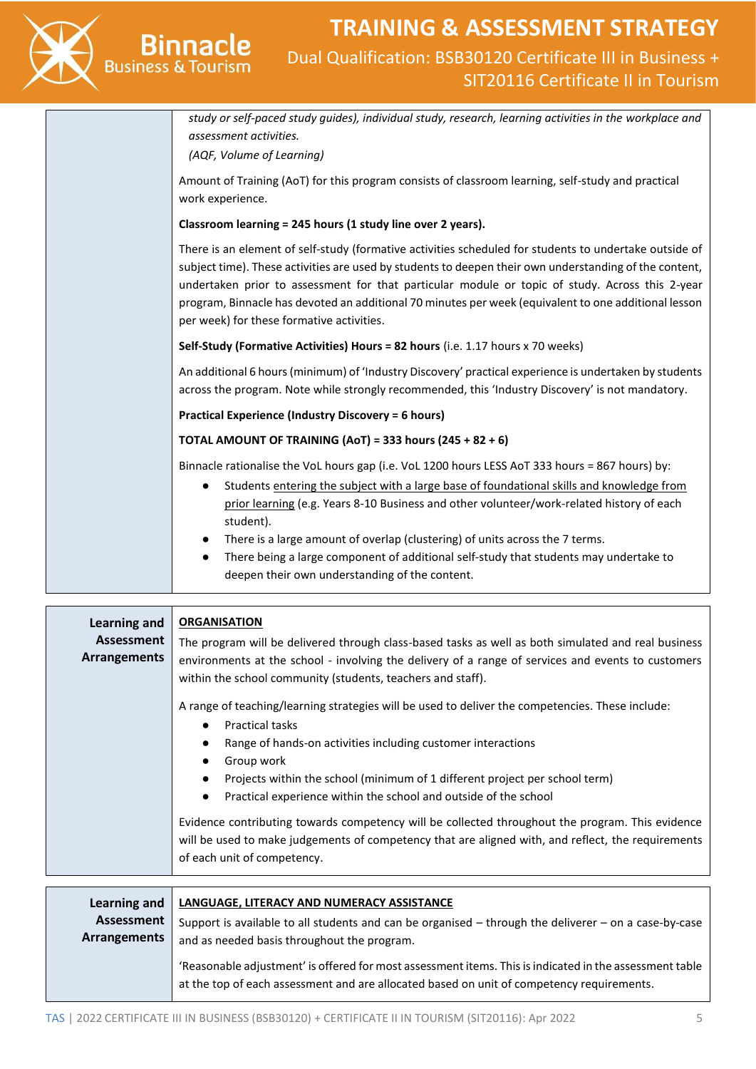

### **TRAINING & ASSESSMENT STRATEGY** Dual Qualification: BSB30120 Certificate III in Business + SIT20116 Certificate II in Tourism

| study or self-paced study guides), individual study, research, learning activities in the workplace and<br>assessment activities.<br>(AQF, Volume of Learning)                                                                                                                                                                                                                                                                                                           |  |  |  |  |  |
|--------------------------------------------------------------------------------------------------------------------------------------------------------------------------------------------------------------------------------------------------------------------------------------------------------------------------------------------------------------------------------------------------------------------------------------------------------------------------|--|--|--|--|--|
| Amount of Training (AoT) for this program consists of classroom learning, self-study and practical<br>work experience.                                                                                                                                                                                                                                                                                                                                                   |  |  |  |  |  |
| Classroom learning = 245 hours (1 study line over 2 years).                                                                                                                                                                                                                                                                                                                                                                                                              |  |  |  |  |  |
| There is an element of self-study (formative activities scheduled for students to undertake outside of<br>subject time). These activities are used by students to deepen their own understanding of the content,<br>undertaken prior to assessment for that particular module or topic of study. Across this 2-year<br>program, Binnacle has devoted an additional 70 minutes per week (equivalent to one additional lesson<br>per week) for these formative activities. |  |  |  |  |  |
| Self-Study (Formative Activities) Hours = 82 hours (i.e. 1.17 hours x 70 weeks)                                                                                                                                                                                                                                                                                                                                                                                          |  |  |  |  |  |
| An additional 6 hours (minimum) of 'Industry Discovery' practical experience is undertaken by students<br>across the program. Note while strongly recommended, this 'Industry Discovery' is not mandatory.                                                                                                                                                                                                                                                               |  |  |  |  |  |
| <b>Practical Experience (Industry Discovery = 6 hours)</b>                                                                                                                                                                                                                                                                                                                                                                                                               |  |  |  |  |  |
| TOTAL AMOUNT OF TRAINING (AoT) = 333 hours $(245 + 82 + 6)$                                                                                                                                                                                                                                                                                                                                                                                                              |  |  |  |  |  |
| Binnacle rationalise the VoL hours gap (i.e. VoL 1200 hours LESS AoT 333 hours = 867 hours) by:                                                                                                                                                                                                                                                                                                                                                                          |  |  |  |  |  |
| Students entering the subject with a large base of foundational skills and knowledge from<br>$\bullet$<br>prior learning (e.g. Years 8-10 Business and other volunteer/work-related history of each<br>student).                                                                                                                                                                                                                                                         |  |  |  |  |  |
| There is a large amount of overlap (clustering) of units across the 7 terms.<br>There being a large component of additional self-study that students may undertake to<br>deepen their own understanding of the content.                                                                                                                                                                                                                                                  |  |  |  |  |  |

| Learning and<br>Assessment<br><b>Arrangements</b> | <b>ORGANISATION</b><br>The program will be delivered through class-based tasks as well as both simulated and real business<br>environments at the school - involving the delivery of a range of services and events to customers<br>within the school community (students, teachers and staff).<br>A range of teaching/learning strategies will be used to deliver the competencies. These include:<br><b>Practical tasks</b><br>$\bullet$<br>Range of hands-on activities including customer interactions<br>Group work<br>Projects within the school (minimum of 1 different project per school term)<br>Practical experience within the school and outside of the school<br>Evidence contributing towards competency will be collected throughout the program. This evidence<br>will be used to make judgements of competency that are aligned with, and reflect, the requirements<br>of each unit of competency. |
|---------------------------------------------------|----------------------------------------------------------------------------------------------------------------------------------------------------------------------------------------------------------------------------------------------------------------------------------------------------------------------------------------------------------------------------------------------------------------------------------------------------------------------------------------------------------------------------------------------------------------------------------------------------------------------------------------------------------------------------------------------------------------------------------------------------------------------------------------------------------------------------------------------------------------------------------------------------------------------|
|                                                   |                                                                                                                                                                                                                                                                                                                                                                                                                                                                                                                                                                                                                                                                                                                                                                                                                                                                                                                      |
| Learning and<br>Assessment<br><b>Arrangements</b> | <b>LANGUAGE, LITERACY AND NUMERACY ASSISTANCE</b><br>Support is available to all students and can be organised - through the deliverer - on a case-by-case<br>and as needed basis throughout the program.<br>'Reasonable adjustment' is offered for most assessment items. This is indicated in the assessment table<br>at the top of each assessment and are allocated based on unit of competency requirements.                                                                                                                                                                                                                                                                                                                                                                                                                                                                                                    |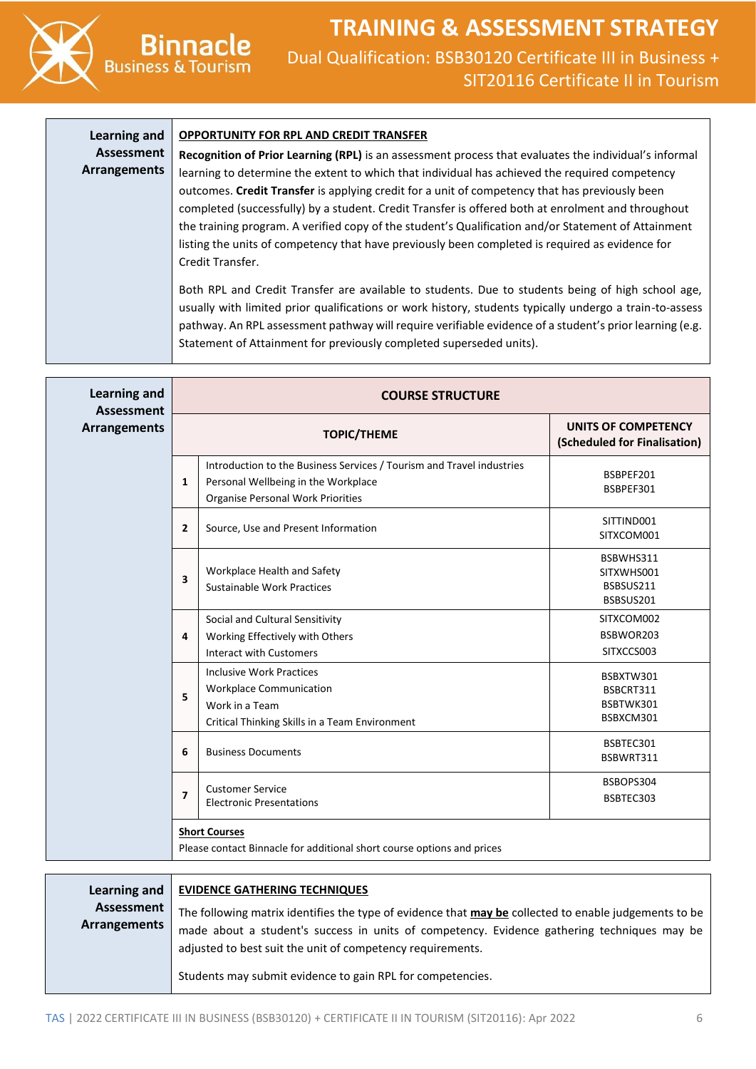### **TRAINING & ASSESSMENT STRATEGY** Dual Qualification: BSB30120 Certificate III in Business + SIT20116 Certificate II in Tourism

#### **Learning and Assessment Arrangements OPPORTUNITY FOR RPL AND CREDIT TRANSFER Recognition of Prior Learning (RPL)** is an assessment process that evaluates the individual's informal learning to determine the extent to which that individual has achieved the required competency outcomes. **Credit Transfer** is applying credit for a unit of competency that has previously been completed (successfully) by a student. Credit Transfer is offered both at enrolment and throughout the training program. A verified copy of the student's Qualification and/or Statement of Attainment listing the units of competency that have previously been completed is required as evidence for Credit Transfer. Both RPL and Credit Transfer are available to students. Due to students being of high school age, usually with limited prior qualifications or work history, students typically undergo a train-to-assess pathway. An RPL assessment pathway will require verifiable evidence of a student's prior learning (e.g.

Statement of Attainment for previously completed superseded units).

| <b>Learning and</b><br><b>Assessment</b> | <b>COURSE STRUCTURE</b>  |                                                                                                                                                   |                                                     |  |  |  |
|------------------------------------------|--------------------------|---------------------------------------------------------------------------------------------------------------------------------------------------|-----------------------------------------------------|--|--|--|
| <b>Arrangements</b>                      |                          | <b>TOPIC/THEME</b>                                                                                                                                | UNITS OF COMPETENCY<br>(Scheduled for Finalisation) |  |  |  |
|                                          | 1                        | Introduction to the Business Services / Tourism and Travel industries<br>Personal Wellbeing in the Workplace<br>Organise Personal Work Priorities | BSBPEF201<br>BSBPEF301                              |  |  |  |
|                                          | $\mathbf{2}$             | Source, Use and Present Information                                                                                                               | SITTIND001<br>SITXCOM001                            |  |  |  |
|                                          | 3<br>4<br>5<br>6         | Workplace Health and Safety<br>Sustainable Work Practices                                                                                         | BSBWHS311<br>SITXWHS001<br>BSBSUS211<br>BSBSUS201   |  |  |  |
|                                          |                          | Social and Cultural Sensitivity<br>Working Effectively with Others<br><b>Interact with Customers</b>                                              | SITXCOM002<br>BSBWOR203<br>SITXCCS003               |  |  |  |
|                                          |                          | <b>Inclusive Work Practices</b><br><b>Workplace Communication</b><br>Work in a Team<br>Critical Thinking Skills in a Team Environment             | BSBXTW301<br>BSBCRT311<br>BSBTWK301<br>BSBXCM301    |  |  |  |
|                                          |                          | <b>Business Documents</b>                                                                                                                         | BSBTEC301<br>BSBWRT311                              |  |  |  |
|                                          | $\overline{\phantom{a}}$ | <b>Customer Service</b><br><b>Electronic Presentations</b>                                                                                        | BSBOPS304<br>BSBTEC303                              |  |  |  |
|                                          |                          | <b>Short Courses</b><br>Please contact Binnacle for additional short course options and prices                                                    |                                                     |  |  |  |
|                                          |                          |                                                                                                                                                   |                                                     |  |  |  |

| Learning and               | <b>EVIDENCE GATHERING TECHNIQUES</b>                                                                                                                                                                                                                                                                                             |
|----------------------------|----------------------------------------------------------------------------------------------------------------------------------------------------------------------------------------------------------------------------------------------------------------------------------------------------------------------------------|
| Assessment<br>Arrangements | The following matrix identifies the type of evidence that may be collected to enable judgements to be<br>made about a student's success in units of competency. Evidence gathering techniques may be<br>adjusted to best suit the unit of competency requirements.<br>Students may submit evidence to gain RPL for competencies. |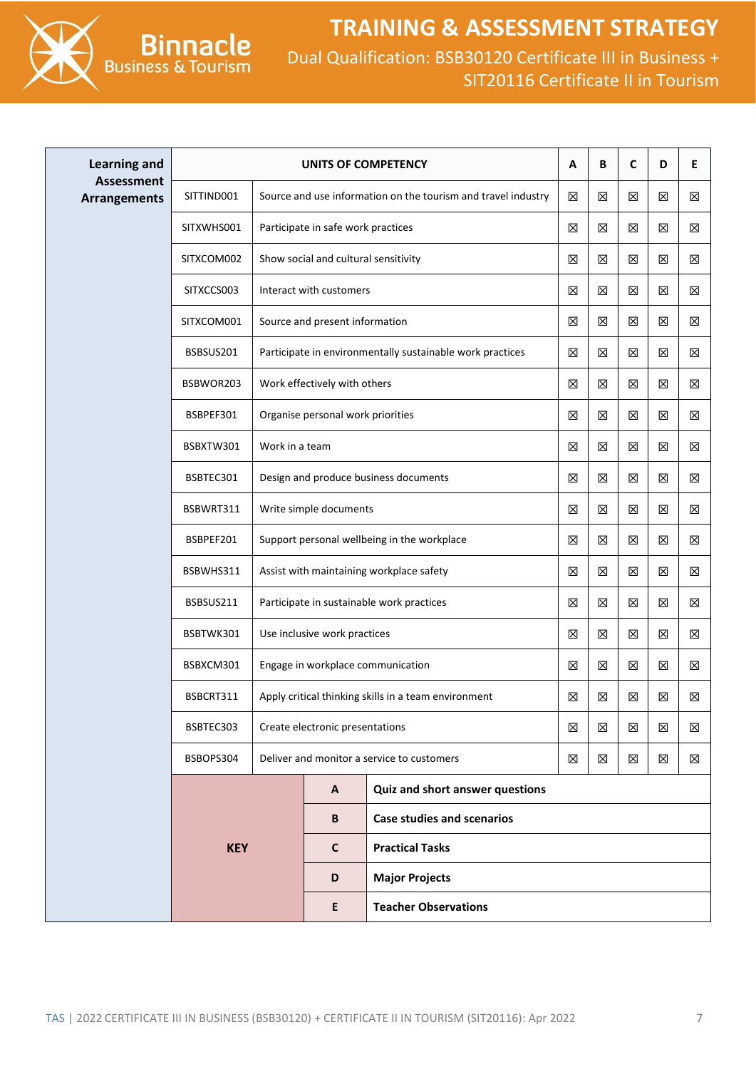

| <b>Learning and</b>                      | UNITS OF COMPETENCY |                                       |                                          |                                                               |             | B           | C | D | E |
|------------------------------------------|---------------------|---------------------------------------|------------------------------------------|---------------------------------------------------------------|-------------|-------------|---|---|---|
| <b>Assessment</b><br><b>Arrangements</b> | SITTIND001          |                                       |                                          | Source and use information on the tourism and travel industry | $\boxtimes$ | $\boxtimes$ | X | 区 | X |
|                                          | SITXWHS001          | Participate in safe work practices    |                                          |                                                               | 区           | X           | X | X | X |
|                                          | SITXCOM002          |                                       | Show social and cultural sensitivity     |                                                               |             | X           | X | ⊠ | X |
|                                          | SITXCCS003          | Interact with customers               |                                          |                                                               |             | X           | X | X | X |
|                                          | SITXCOM001          |                                       | Source and present information           |                                                               | $\boxtimes$ | 区           | 区 | ⊠ | X |
|                                          | BSBSUS201           |                                       |                                          | Participate in environmentally sustainable work practices     | 区           | 区           | X | X | X |
|                                          | BSBWOR203           |                                       | Work effectively with others             |                                                               | 区           | X           | X | ⊠ | X |
|                                          | BSBPEF301           |                                       | Organise personal work priorities        |                                                               | 区           | X           | ⊠ | ⊠ | X |
|                                          | BSBXTW301           | Work in a team                        |                                          |                                                               | 区           | 区           | ⊠ | ⊠ | X |
|                                          | BSBTEC301           | Design and produce business documents |                                          |                                                               |             | X           | ⊠ | ⊠ | X |
|                                          | BSBWRT311           |                                       | Write simple documents                   |                                                               | 区           | $\boxtimes$ | X | X | X |
|                                          | BSBPEF201           |                                       |                                          | Support personal wellbeing in the workplace                   | 区           | 区           | X | X | X |
|                                          | BSBWHS311           |                                       | Assist with maintaining workplace safety |                                                               |             |             | X | X | X |
|                                          | BSBSUS211           |                                       |                                          | Participate in sustainable work practices                     | $\boxtimes$ | $\boxtimes$ | 区 | 区 | X |
|                                          | BSBTWK301           |                                       | Use inclusive work practices             |                                                               | $\boxtimes$ | $\boxtimes$ | 区 | 区 | X |
|                                          | BSBXCM301           |                                       |                                          | Engage in workplace communication                             | $\boxtimes$ | $\boxtimes$ | 区 | X | X |
|                                          | BSBCRT311           |                                       |                                          | Apply critical thinking skills in a team environment          | 区           | 区           | X | X | X |
|                                          | BSBTEC303           |                                       | Create electronic presentations          |                                                               | 区           | 区           | ⊠ | ⊠ | X |
|                                          | BSBOPS304           |                                       |                                          | Deliver and monitor a service to customers                    | X           | X           | ⊠ | ⊠ | X |
|                                          |                     |                                       | A                                        | Quiz and short answer questions                               |             |             |   |   |   |
|                                          |                     |                                       | B                                        | <b>Case studies and scenarios</b>                             |             |             |   |   |   |
|                                          | <b>KEY</b>          |                                       | $\mathbf c$                              | <b>Practical Tasks</b>                                        |             |             |   |   |   |
|                                          |                     |                                       | D                                        | <b>Major Projects</b>                                         |             |             |   |   |   |
|                                          |                     |                                       | E                                        | <b>Teacher Observations</b>                                   |             |             |   |   |   |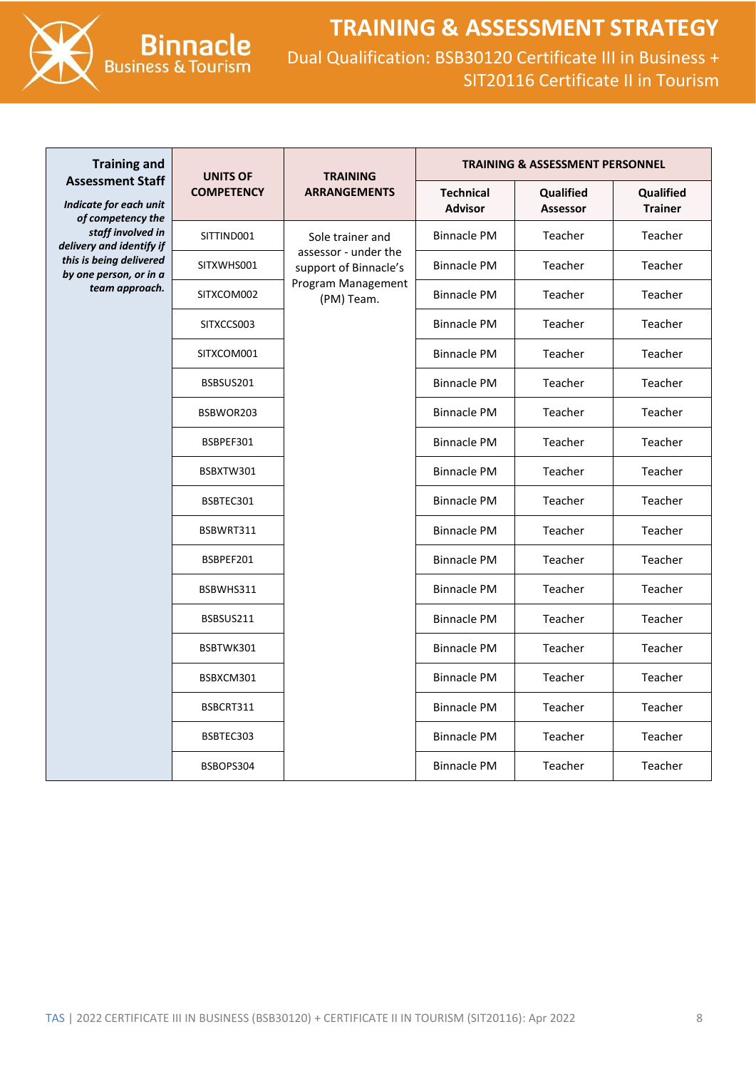



**Binnacle**<br>Business & Tourism

| <b>Training and</b>                                                                                                     | <b>UNITS OF</b>                | <b>TRAINING</b><br><b>ARRANGEMENTS</b>                                            | <b>TRAINING &amp; ASSESSMENT PERSONNEL</b> |                              |                             |
|-------------------------------------------------------------------------------------------------------------------------|--------------------------------|-----------------------------------------------------------------------------------|--------------------------------------------|------------------------------|-----------------------------|
| <b>Assessment Staff</b><br>Indicate for each unit<br>of competency the<br>staff involved in<br>delivery and identify if | <b>COMPETENCY</b>              |                                                                                   | <b>Technical</b><br><b>Advisor</b>         | Qualified<br><b>Assessor</b> | Qualified<br><b>Trainer</b> |
|                                                                                                                         | SITTIND001<br>Sole trainer and |                                                                                   | <b>Binnacle PM</b>                         | Teacher                      | Teacher                     |
| this is being delivered<br>by one person, or in a                                                                       | SITXWHS001<br>SITXCOM002       | assessor - under the<br>support of Binnacle's<br>Program Management<br>(PM) Team. | <b>Binnacle PM</b>                         | Teacher                      | Teacher                     |
| team approach.                                                                                                          |                                |                                                                                   | <b>Binnacle PM</b>                         | Teacher                      | Teacher                     |
|                                                                                                                         | SITXCCS003                     |                                                                                   | <b>Binnacle PM</b>                         | Teacher                      | Teacher                     |
|                                                                                                                         | SITXCOM001                     |                                                                                   | <b>Binnacle PM</b>                         | Teacher                      | Teacher                     |
|                                                                                                                         | BSBSUS201                      |                                                                                   | <b>Binnacle PM</b>                         | Teacher                      | Teacher                     |
|                                                                                                                         | BSBWOR203                      |                                                                                   | <b>Binnacle PM</b>                         | Teacher                      | Teacher                     |
|                                                                                                                         | BSBPEF301                      |                                                                                   | <b>Binnacle PM</b>                         | Teacher                      | Teacher                     |
|                                                                                                                         | BSBXTW301                      |                                                                                   | <b>Binnacle PM</b>                         | Teacher                      | Teacher                     |
|                                                                                                                         | BSBTEC301                      |                                                                                   | <b>Binnacle PM</b>                         | Teacher                      | Teacher                     |
|                                                                                                                         | BSBWRT311                      |                                                                                   | <b>Binnacle PM</b>                         | Teacher                      | Teacher                     |
|                                                                                                                         | BSBPEF201                      |                                                                                   | <b>Binnacle PM</b>                         | Teacher                      | Teacher                     |
|                                                                                                                         | BSBWHS311                      |                                                                                   | <b>Binnacle PM</b>                         | Teacher                      | Teacher                     |
|                                                                                                                         | BSBSUS211                      |                                                                                   | <b>Binnacle PM</b>                         | Teacher                      | Teacher                     |
|                                                                                                                         | BSBTWK301                      |                                                                                   | <b>Binnacle PM</b>                         | Teacher                      | Teacher                     |
|                                                                                                                         | BSBXCM301                      |                                                                                   | <b>Binnacle PM</b>                         | Teacher                      | Teacher                     |
|                                                                                                                         | BSBCRT311                      |                                                                                   | <b>Binnacle PM</b>                         | Teacher                      | Teacher                     |
|                                                                                                                         | BSBTEC303                      |                                                                                   | <b>Binnacle PM</b>                         | Teacher                      | Teacher                     |
|                                                                                                                         | BSBOPS304                      |                                                                                   | <b>Binnacle PM</b>                         | Teacher                      | Teacher                     |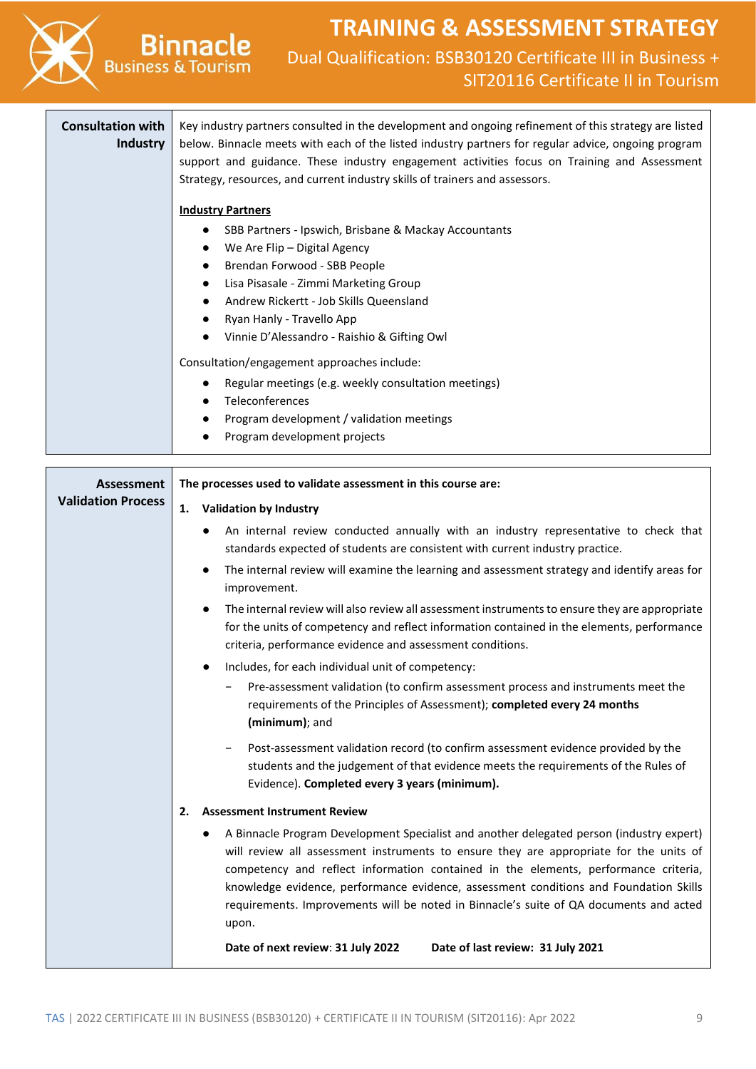

- Regular meetings (e.g. weekly consultation meetings)
- Teleconferences
- Program development / validation meetings
- Program development projects

| Assessment                | The processes used to validate assessment in this course are:                                                                                                                                                                                                                                                                                                                                                                                                                      |  |  |  |
|---------------------------|------------------------------------------------------------------------------------------------------------------------------------------------------------------------------------------------------------------------------------------------------------------------------------------------------------------------------------------------------------------------------------------------------------------------------------------------------------------------------------|--|--|--|
| <b>Validation Process</b> | <b>Validation by Industry</b><br>1.                                                                                                                                                                                                                                                                                                                                                                                                                                                |  |  |  |
|                           | An internal review conducted annually with an industry representative to check that<br>$\bullet$<br>standards expected of students are consistent with current industry practice.                                                                                                                                                                                                                                                                                                  |  |  |  |
|                           | The internal review will examine the learning and assessment strategy and identify areas for<br>$\bullet$<br>improvement.                                                                                                                                                                                                                                                                                                                                                          |  |  |  |
|                           | The internal review will also review all assessment instruments to ensure they are appropriate<br>for the units of competency and reflect information contained in the elements, performance<br>criteria, performance evidence and assessment conditions.                                                                                                                                                                                                                          |  |  |  |
|                           | Includes, for each individual unit of competency:<br>$\bullet$                                                                                                                                                                                                                                                                                                                                                                                                                     |  |  |  |
|                           | Pre-assessment validation (to confirm assessment process and instruments meet the<br>requirements of the Principles of Assessment); completed every 24 months<br>(minimum); and                                                                                                                                                                                                                                                                                                    |  |  |  |
|                           | Post-assessment validation record (to confirm assessment evidence provided by the<br>students and the judgement of that evidence meets the requirements of the Rules of<br>Evidence). Completed every 3 years (minimum).                                                                                                                                                                                                                                                           |  |  |  |
|                           | <b>Assessment Instrument Review</b><br>2.                                                                                                                                                                                                                                                                                                                                                                                                                                          |  |  |  |
|                           | A Binnacle Program Development Specialist and another delegated person (industry expert)<br>$\bullet$<br>will review all assessment instruments to ensure they are appropriate for the units of<br>competency and reflect information contained in the elements, performance criteria,<br>knowledge evidence, performance evidence, assessment conditions and Foundation Skills<br>requirements. Improvements will be noted in Binnacle's suite of QA documents and acted<br>upon. |  |  |  |
|                           | Date of next review: 31 July 2022<br>Date of last review: 31 July 2021                                                                                                                                                                                                                                                                                                                                                                                                             |  |  |  |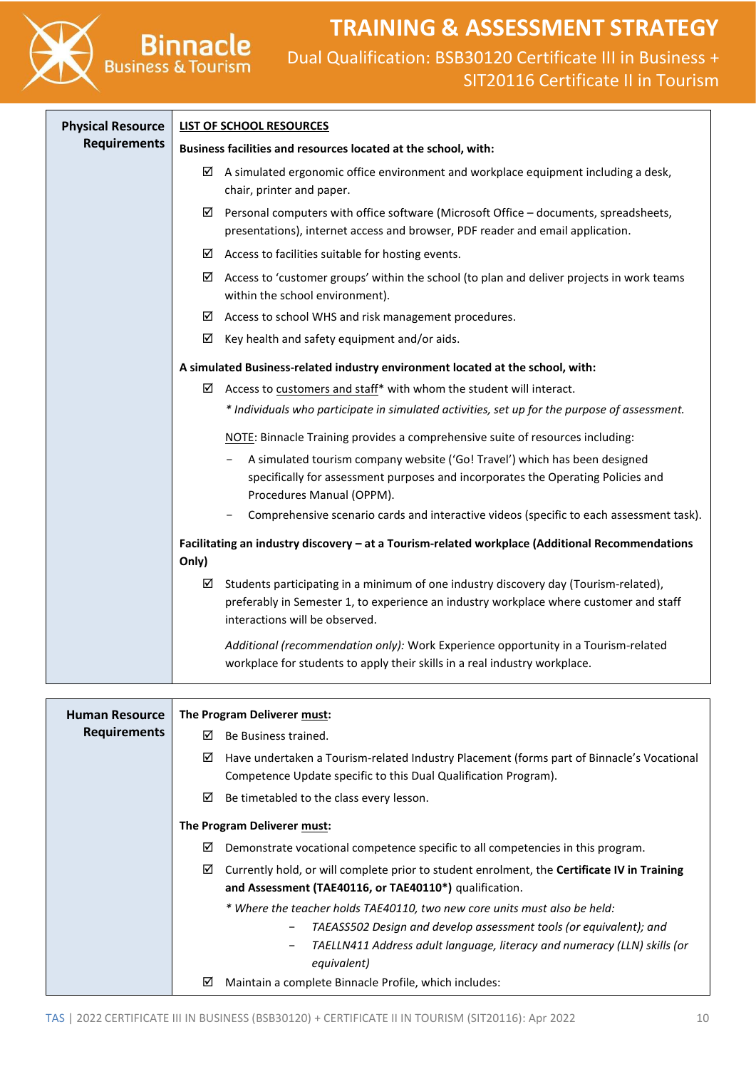Dual Qualification: BSB30120 Certificate III in Business + SIT20116 Certificate II in Tourism

| <b>Physical Resource</b> | <b>LIST OF SCHOOL RESOURCES</b>                                                                                                                                                                                       |  |  |  |
|--------------------------|-----------------------------------------------------------------------------------------------------------------------------------------------------------------------------------------------------------------------|--|--|--|
| <b>Requirements</b>      | Business facilities and resources located at the school, with:                                                                                                                                                        |  |  |  |
|                          | $\boxtimes$ A simulated ergonomic office environment and workplace equipment including a desk,<br>chair, printer and paper.                                                                                           |  |  |  |
|                          | Personal computers with office software (Microsoft Office - documents, spreadsheets,<br>☑<br>presentations), internet access and browser, PDF reader and email application.                                           |  |  |  |
|                          | $\boxtimes$ Access to facilities suitable for hosting events.                                                                                                                                                         |  |  |  |
|                          | Access to 'customer groups' within the school (to plan and deliver projects in work teams<br>☑<br>within the school environment).                                                                                     |  |  |  |
|                          | Access to school WHS and risk management procedures.<br>☑                                                                                                                                                             |  |  |  |
|                          | ☑<br>Key health and safety equipment and/or aids.                                                                                                                                                                     |  |  |  |
|                          | A simulated Business-related industry environment located at the school, with:                                                                                                                                        |  |  |  |
|                          | $\boxtimes$ Access to customers and staff* with whom the student will interact.                                                                                                                                       |  |  |  |
|                          | * Individuals who participate in simulated activities, set up for the purpose of assessment.                                                                                                                          |  |  |  |
|                          | NOTE: Binnacle Training provides a comprehensive suite of resources including:                                                                                                                                        |  |  |  |
|                          | A simulated tourism company website ('Go! Travel') which has been designed<br>specifically for assessment purposes and incorporates the Operating Policies and<br>Procedures Manual (OPPM).                           |  |  |  |
|                          | Comprehensive scenario cards and interactive videos (specific to each assessment task).                                                                                                                               |  |  |  |
|                          | Facilitating an industry discovery - at a Tourism-related workplace (Additional Recommendations                                                                                                                       |  |  |  |
|                          | Only)                                                                                                                                                                                                                 |  |  |  |
|                          | Students participating in a minimum of one industry discovery day (Tourism-related),<br>☑<br>preferably in Semester 1, to experience an industry workplace where customer and staff<br>interactions will be observed. |  |  |  |
|                          | Additional (recommendation only): Work Experience opportunity in a Tourism-related<br>workplace for students to apply their skills in a real industry workplace.                                                      |  |  |  |

**Binnacle**<br>Business & Tourism

| <b>Human Resource</b> | The Program Deliverer must: |                                                                                                                                                              |  |
|-----------------------|-----------------------------|--------------------------------------------------------------------------------------------------------------------------------------------------------------|--|
| <b>Requirements</b>   | ⊠                           | Be Business trained.                                                                                                                                         |  |
|                       | ☑                           | Have undertaken a Tourism-related Industry Placement (forms part of Binnacle's Vocational<br>Competence Update specific to this Dual Qualification Program). |  |
|                       | ☑                           | Be timetabled to the class every lesson.                                                                                                                     |  |
|                       |                             | The Program Deliverer must:                                                                                                                                  |  |
|                       | ☑                           | Demonstrate vocational competence specific to all competencies in this program.                                                                              |  |
|                       | ☑                           | Currently hold, or will complete prior to student enrolment, the <b>Certificate IV in Training</b><br>and Assessment (TAE40116, or TAE40110*) qualification. |  |
|                       |                             | * Where the teacher holds TAE40110, two new core units must also be held:                                                                                    |  |
|                       |                             | TAEASS502 Design and develop assessment tools (or equivalent); and<br>$\overline{\phantom{m}}$                                                               |  |
|                       |                             | TAELLN411 Address adult language, literacy and numeracy (LLN) skills (or<br>$\overline{\phantom{m}}$<br>equivalent)                                          |  |
|                       | ☑                           | Maintain a complete Binnacle Profile, which includes:                                                                                                        |  |
|                       |                             |                                                                                                                                                              |  |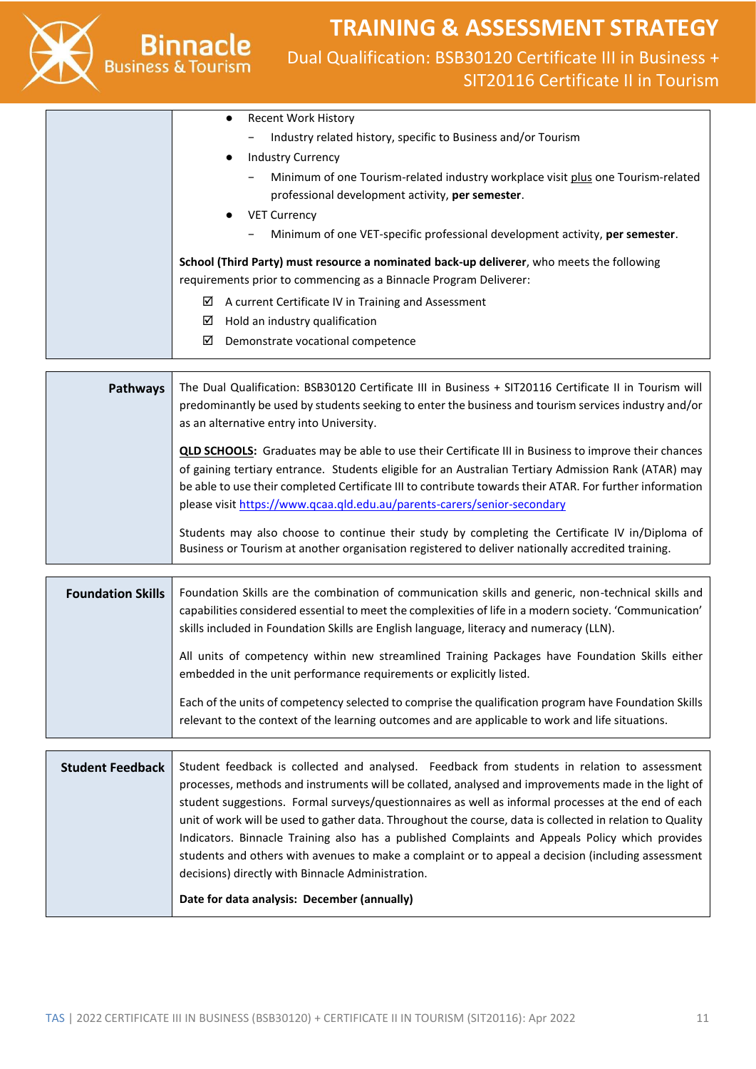

### **TRAINING & ASSESSMENT STRATEGY** Dual Qualification: BSB30120 Certificate III in Business + SIT20116 Certificate II in Tourism

|  | Recent Work History<br>$\bullet$                                                                             |
|--|--------------------------------------------------------------------------------------------------------------|
|  | Industry related history, specific to Business and/or Tourism<br>$\overline{\phantom{0}}$                    |
|  | <b>Industry Currency</b><br>$\bullet$                                                                        |
|  | Minimum of one Tourism-related industry workplace visit plus one Tourism-related<br>$\overline{\phantom{0}}$ |
|  | professional development activity, per semester.                                                             |
|  | <b>VET Currency</b><br>$\bullet$                                                                             |
|  | Minimum of one VET-specific professional development activity, per semester.<br>$\qquad \qquad -$            |
|  | School (Third Party) must resource a nominated back-up deliverer, who meets the following                    |
|  | requirements prior to commencing as a Binnacle Program Deliverer:                                            |
|  | ☑<br>A current Certificate IV in Training and Assessment                                                     |
|  | ☑<br>Hold an industry qualification                                                                          |
|  | ☑<br>Demonstrate vocational competence                                                                       |
|  |                                                                                                              |

| <b>Pathways</b> | The Dual Qualification: BSB30120 Certificate III in Business + SIT20116 Certificate II in Tourism will<br>predominantly be used by students seeking to enter the business and tourism services industry and/or<br>as an alternative entry into University.                                                                                                                                                  |
|-----------------|-------------------------------------------------------------------------------------------------------------------------------------------------------------------------------------------------------------------------------------------------------------------------------------------------------------------------------------------------------------------------------------------------------------|
|                 | <b>QLD SCHOOLS:</b> Graduates may be able to use their Certificate III in Business to improve their chances<br>of gaining tertiary entrance. Students eligible for an Australian Tertiary Admission Rank (ATAR) may<br>be able to use their completed Certificate III to contribute towards their ATAR. For further information<br>please visit https://www.qcaa.qld.edu.au/parents-carers/senior-secondary |
|                 | Students may also choose to continue their study by completing the Certificate IV in/Diploma of<br>Business or Tourism at another organisation registered to deliver nationally accredited training.                                                                                                                                                                                                        |

| <b>Foundation Skills</b> | Foundation Skills are the combination of communication skills and generic, non-technical skills and<br>capabilities considered essential to meet the complexities of life in a modern society. 'Communication'<br>skills included in Foundation Skills are English language, literacy and numeracy (LLN). |  |  |
|--------------------------|-----------------------------------------------------------------------------------------------------------------------------------------------------------------------------------------------------------------------------------------------------------------------------------------------------------|--|--|
|                          | All units of competency within new streamlined Training Packages have Foundation Skills either<br>embedded in the unit performance requirements or explicitly listed.                                                                                                                                     |  |  |
|                          | Each of the units of competency selected to comprise the qualification program have Foundation Skills<br>relevant to the context of the learning outcomes and are applicable to work and life situations.                                                                                                 |  |  |

**Student Feedback** Student feedback is collected and analysed. Feedback from students in relation to assessment processes, methods and instruments will be collated, analysed and improvements made in the light of student suggestions. Formal surveys/questionnaires as well as informal processes at the end of each unit of work will be used to gather data. Throughout the course, data is collected in relation to Quality Indicators. Binnacle Training also has a published Complaints and Appeals Policy which provides students and others with avenues to make a complaint or to appeal a decision (including assessment decisions) directly with Binnacle Administration. **Date for data analysis: December (annually)**